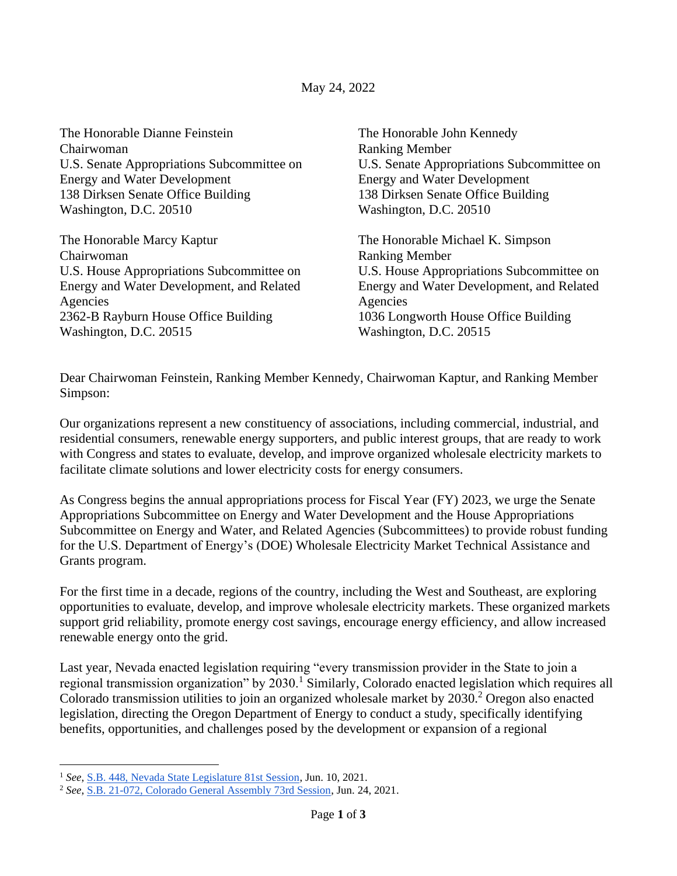The Honorable Dianne Feinstein Chairwoman U.S. Senate Appropriations Subcommittee on Energy and Water Development 138 Dirksen Senate Office Building Washington, D.C. 20510 The Honorable Marcy Kaptur Chairwoman U.S. House Appropriations Subcommittee on Energy and Water Development, and Related Agencies 2362-B Rayburn House Office Building Washington, D.C. 20515 The Honorable John Kennedy Ranking Member U.S. Senate Appropriations Subcommittee on Energy and Water Development 138 Dirksen Senate Office Building Washington, D.C. 20510 The Honorable Michael K. Simpson Ranking Member U.S. House Appropriations Subcommittee on Energy and Water Development, and Related Agencies 1036 Longworth House Office Building Washington, D.C. 20515

Dear Chairwoman Feinstein, Ranking Member Kennedy, Chairwoman Kaptur, and Ranking Member Simpson:

Our organizations represent a new constituency of associations, including commercial, industrial, and residential consumers, renewable energy supporters, and public interest groups, that are ready to work with Congress and states to evaluate, develop, and improve organized wholesale electricity markets to facilitate climate solutions and lower electricity costs for energy consumers.

As Congress begins the annual appropriations process for Fiscal Year (FY) 2023, we urge the Senate Appropriations Subcommittee on Energy and Water Development and the House Appropriations Subcommittee on Energy and Water, and Related Agencies (Subcommittees) to provide robust funding for the U.S. Department of Energy's (DOE) Wholesale Electricity Market Technical Assistance and Grants program.

For the first time in a decade, regions of the country, including the West and Southeast, are exploring opportunities to evaluate, develop, and improve wholesale electricity markets. These organized markets support grid reliability, promote energy cost savings, encourage energy efficiency, and allow increased renewable energy onto the grid.

Last year, Nevada enacted legislation requiring "every transmission provider in the State to join a regional transmission organization" by 2030.<sup>1</sup> Similarly, Colorado enacted legislation which requires all Colorado transmission utilities to join an organized wholesale market by 2030.<sup>2</sup> Oregon also enacted legislation, directing the Oregon Department of Energy to conduct a study, specifically identifying benefits, opportunities, and challenges posed by the development or expansion of a regional

<sup>1</sup> *See*[, S.B. 448, Nevada State Legislature 81st Session,](https://www.leg.state.nv.us/App/NELIS/REL/81st2021/Bill/8201/Text) Jun. 10, 2021.

<sup>2</sup> *See*[, S.B. 21-072, Colorado General Assembly 73rd Session,](https://leg.colorado.gov/sites/default/files/documents/2021A/bills/2021a_072_enr.pdf) Jun. 24, 2021.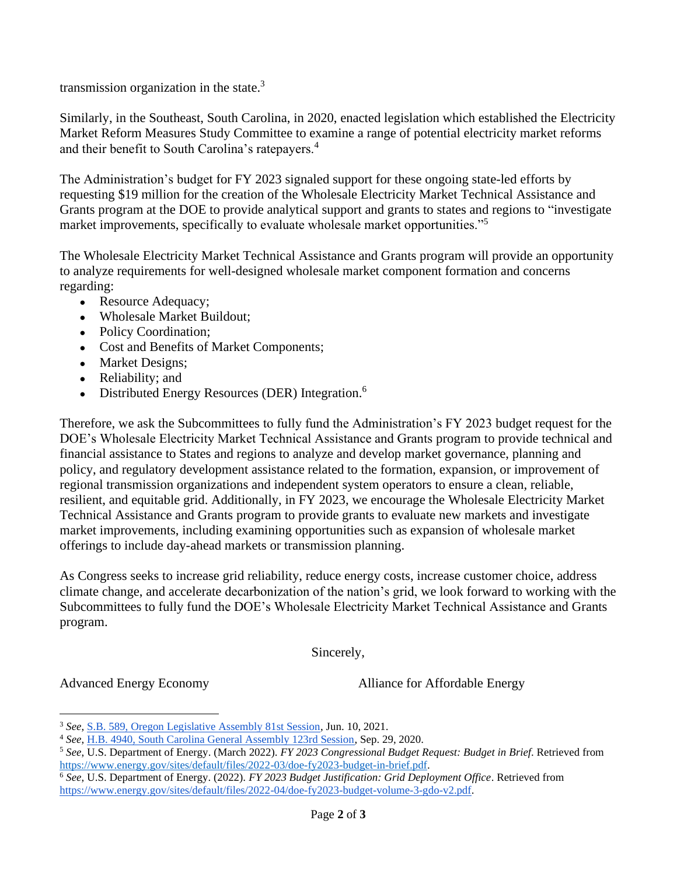transmission organization in the state.<sup>3</sup>

Similarly, in the Southeast, South Carolina, in 2020, enacted legislation which established the Electricity Market Reform Measures Study Committee to examine a range of potential electricity market reforms and their benefit to South Carolina's ratepayers.<sup>4</sup>

The Administration's budget for FY 2023 signaled support for these ongoing state-led efforts by requesting \$19 million for the creation of the Wholesale Electricity Market Technical Assistance and Grants program at the DOE to provide analytical support and grants to states and regions to "investigate market improvements, specifically to evaluate wholesale market opportunities."<sup>5</sup>

The Wholesale Electricity Market Technical Assistance and Grants program will provide an opportunity to analyze requirements for well-designed wholesale market component formation and concerns regarding:

- Resource Adequacy;
- Wholesale Market Buildout;
- Policy Coordination;
- Cost and Benefits of Market Components;
- Market Designs;
- Reliability; and
- Distributed Energy Resources (DER) Integration.<sup>6</sup>

Therefore, we ask the Subcommittees to fully fund the Administration's FY 2023 budget request for the DOE's Wholesale Electricity Market Technical Assistance and Grants program to provide technical and financial assistance to States and regions to analyze and develop market governance, planning and policy, and regulatory development assistance related to the formation, expansion, or improvement of regional transmission organizations and independent system operators to ensure a clean, reliable, resilient, and equitable grid. Additionally, in FY 2023, we encourage the Wholesale Electricity Market Technical Assistance and Grants program to provide grants to evaluate new markets and investigate market improvements, including examining opportunities such as expansion of wholesale market offerings to include day-ahead markets or transmission planning.

As Congress seeks to increase grid reliability, reduce energy costs, increase customer choice, address climate change, and accelerate decarbonization of the nation's grid, we look forward to working with the Subcommittees to fully fund the DOE's Wholesale Electricity Market Technical Assistance and Grants program.

Sincerely,

Advanced Energy Economy

Alliance for Affordable Energy

<sup>3</sup> *See*[, S.B. 589, Oregon Legislative Assembly 81st Session,](https://olis.oregonlegislature.gov/liz/2021R1/Downloads/MeasureDocument/SB0589/Enrolled) Jun. 10, 2021.

<sup>4</sup> *See*[, H.B. 4940, South Carolina General Assembly 123rd Session,](https://www.scstatehouse.gov/sess123_2019-2020/bills/4940.htm) Sep. 29, 2020.

<sup>5</sup> *See*, U.S. Department of Energy. (March 2022). *FY 2023 Congressional Budget Request: Budget in Brief*. Retrieved from [https://www.energy.gov/sites/default/files/2022-03/doe-fy2023-budget-in-brief.pdf.](https://www.energy.gov/sites/default/files/2022-03/doe-fy2023-budget-in-brief.pdf)

<sup>6</sup> *See*, U.S. Department of Energy. (2022). *FY 2023 Budget Justification: Grid Deployment Office*. Retrieved from [https://www.energy.gov/sites/default/files/2022-04/doe-fy2023-budget-volume-3-gdo-v2.pdf.](https://www.energy.gov/sites/default/files/2022-04/doe-fy2023-budget-volume-3-gdo-v2.pdf)